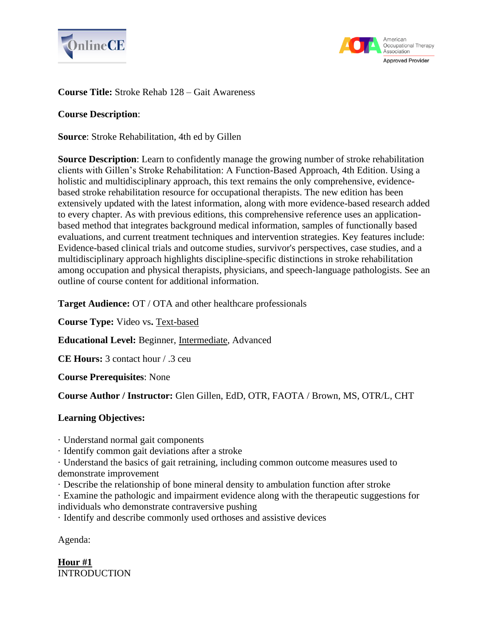



# **Course Title:** Stroke Rehab 128 – Gait Awareness

# **Course Description**:

**Source**: Stroke Rehabilitation, 4th ed by Gillen

**Source Description**: Learn to confidently manage the growing number of stroke rehabilitation clients with Gillen's Stroke Rehabilitation: A Function-Based Approach, 4th Edition. Using a holistic and multidisciplinary approach, this text remains the only comprehensive, evidencebased stroke rehabilitation resource for occupational therapists. The new edition has been extensively updated with the latest information, along with more evidence-based research added to every chapter. As with previous editions, this comprehensive reference uses an applicationbased method that integrates background medical information, samples of functionally based evaluations, and current treatment techniques and intervention strategies. Key features include: Evidence-based clinical trials and outcome studies, survivor's perspectives, case studies, and a multidisciplinary approach highlights discipline-specific distinctions in stroke rehabilitation among occupation and physical therapists, physicians, and speech-language pathologists. See an outline of course content for additional information.

**Target Audience:** OT / OTA and other healthcare professionals

**Course Type:** Video vs**.** Text-based

**Educational Level:** Beginner, Intermediate, Advanced

**CE Hours:** 3 contact hour / .3 ceu

**Course Prerequisites**: None

**Course Author / Instructor:** Glen Gillen, EdD, OTR, FAOTA / Brown, MS, OTR/L, CHT

# **Learning Objectives:**

· Understand normal gait components

· Identify common gait deviations after a stroke

· Understand the basics of gait retraining, including common outcome measures used to demonstrate improvement

· Describe the relationship of bone mineral density to ambulation function after stroke

· Examine the pathologic and impairment evidence along with the therapeutic suggestions for individuals who demonstrate contraversive pushing

· Identify and describe commonly used orthoses and assistive devices

Agenda:

**Hour #1 INTRODUCTION**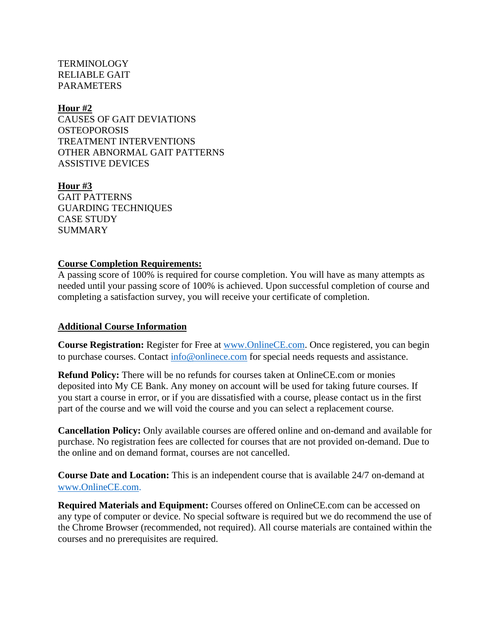TERMINOLOGY RELIABLE GAIT PARAMETERS

### **Hour #2**

CAUSES OF GAIT DEVIATIONS **OSTEOPOROSIS** TREATMENT INTERVENTIONS OTHER ABNORMAL GAIT PATTERNS ASSISTIVE DEVICES

**Hour #3** GAIT PATTERNS GUARDING TECHNIQUES CASE STUDY SUMMARY

### **Course Completion Requirements:**

A passing score of 100% is required for course completion. You will have as many attempts as needed until your passing score of 100% is achieved. Upon successful completion of course and completing a satisfaction survey, you will receive your certificate of completion.

### **Additional Course Information**

**Course Registration:** Register for Free at [www.OnlineCE.com.](http://www.onlinece.com/) Once registered, you can begin to purchase courses. Contact [info@onlinece.com](mailto:info@onlinece.com) for special needs requests and assistance.

**Refund Policy:** There will be no refunds for courses taken at OnlineCE.com or monies deposited into My CE Bank. Any money on account will be used for taking future courses. If you start a course in error, or if you are dissatisfied with a course, please contact us in the first part of the course and we will void the course and you can select a replacement course.

**Cancellation Policy:** Only available courses are offered online and on-demand and available for purchase. No registration fees are collected for courses that are not provided on-demand. Due to the online and on demand format, courses are not cancelled.

**Course Date and Location:** This is an independent course that is available 24/7 on-demand at [www.OnlineCE.com.](http://www.onlinece.com/)

**Required Materials and Equipment:** Courses offered on OnlineCE.com can be accessed on any type of computer or device. No special software is required but we do recommend the use of the Chrome Browser (recommended, not required). All course materials are contained within the courses and no prerequisites are required.